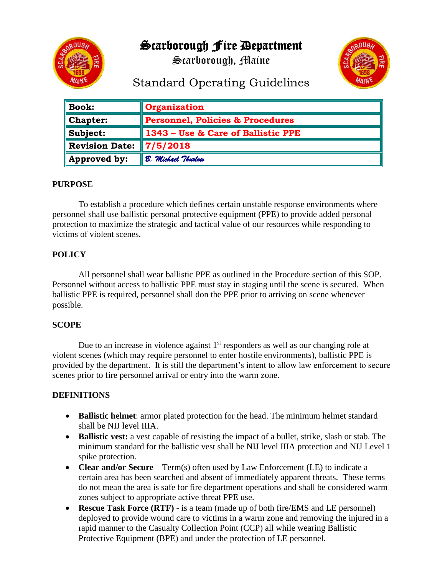Scarborough Fire Department

Scarborough, Maine



# Standard Operating Guidelines

| $\parallel$ Book: | Organization                       |
|-------------------|------------------------------------|
| $\ $ Chapter:     | Personnel, Policies & Procedures   |
| $\ $ Subject:     | 1343 – Use & Care of Ballistic PPE |
| Revision Date:    | $\ 7/5/2018$                       |
| Approved by:      | B. Michael Thurlow                 |

## **PURPOSE**

To establish a procedure which defines certain unstable response environments where personnel shall use ballistic personal protective equipment (PPE) to provide added personal protection to maximize the strategic and tactical value of our resources while responding to victims of violent scenes.

## **POLICY**

All personnel shall wear ballistic PPE as outlined in the Procedure section of this SOP. Personnel without access to ballistic PPE must stay in staging until the scene is secured. When ballistic PPE is required, personnel shall don the PPE prior to arriving on scene whenever possible.

## **SCOPE**

Due to an increase in violence against 1<sup>st</sup> responders as well as our changing role at violent scenes (which may require personnel to enter hostile environments), ballistic PPE is provided by the department. It is still the department's intent to allow law enforcement to secure scenes prior to fire personnel arrival or entry into the warm zone.

## **DEFINITIONS**

- **Ballistic helmet**: armor plated protection for the head. The minimum helmet standard shall be NIJ level IIIA.
- **Ballistic vest:** a vest capable of resisting the impact of a bullet, strike, slash or stab. The minimum standard for the ballistic vest shall be NIJ level IIIA protection and NIJ Level 1 spike protection.
- **Clear and/or Secure** Term(s) often used by Law Enforcement (LE) to indicate a certain area has been searched and absent of immediately apparent threats. These terms do not mean the area is safe for fire department operations and shall be considered warm zones subject to appropriate active threat PPE use.
- **Rescue Task Force (RTF)** is a team (made up of both fire/EMS and LE personnel) deployed to provide wound care to victims in a warm zone and removing the injured in a rapid manner to the Casualty Collection Point (CCP) all while wearing Ballistic Protective Equipment (BPE) and under the protection of LE personnel.